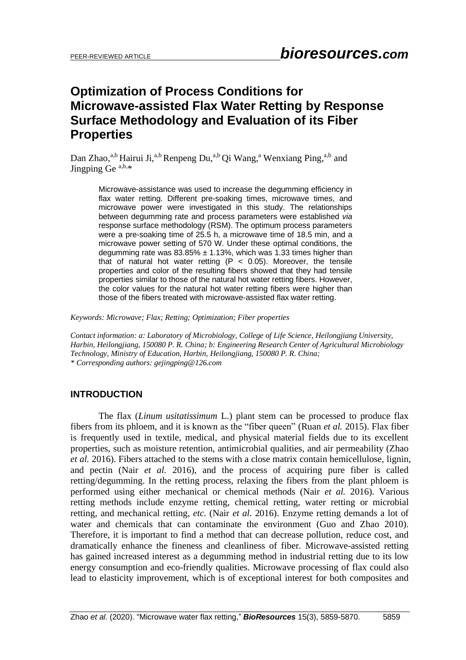# **Optimization of Process Conditions for Microwave-assisted Flax Water Retting by Response Surface Methodology and Evaluation of its Fiber Properties**

Dan Zhao,<sup>a,b</sup> Hairui Ji,<sup>a,b</sup> Renpeng Du,<sup>a,b</sup> Qi Wang,<sup>a</sup> Wenxiang Ping,<sup>a,b</sup> and Jingping Ge<sup> $a,b,*$ </sup>

Microwave-assistance was used to increase the degumming efficiency in flax water retting. Different pre-soaking times, microwave times, and microwave power were investigated in this study. The relationships between degumming rate and process parameters were established *via* response surface methodology (RSM). The optimum process parameters were a pre-soaking time of 25.5 h, a microwave time of 18.5 min, and a microwave power setting of 570 W. Under these optimal conditions, the degumming rate was  $83.85\% \pm 1.13\%$ , which was 1.33 times higher than that of natural hot water retting  $(P < 0.05)$ . Moreover, the tensile properties and color of the resulting fibers showed that they had tensile properties similar to those of the natural hot water retting fibers. However, the color values for the natural hot water retting fibers were higher than those of the fibers treated with microwave-assisted flax water retting.

*Keywords: Microwave; Flax; Retting; Optimization; Fiber properties*

*Contact information: a: Laboratory of Microbiology, College of Life Science, Heilongjiang University, Harbin, Heilongjiang, 150080 P. R. China; b: Engineering Research Center of Agricultural Microbiology Technology, Ministry of Education, Harbin, Heilongjiang, 150080 P. R. China; \* Corresponding authors: gejingping@126.com* 

# **INTRODUCTION**

The flax (*Linum usitatissimum* L.) plant stem can be processed to produce flax fibers from its phloem, and it is known as the "fiber queen" (Ruan *et al.* 2015). Flax fiber is frequently used in textile, medical, and physical material fields due to its excellent properties, such as moisture retention, antimicrobial qualities, and air permeability (Zhao *et al.* 2016). Fibers attached to the stems with a close matrix contain hemicellulose, lignin, and pectin (Nair *et al.* 2016), and the process of acquiring pure fiber is called retting/degumming. In the retting process, relaxing the fibers from the plant phloem is performed using either mechanical or chemical methods (Nair *et al.* 2016). Various retting methods include enzyme retting, chemical retting, water retting or microbial retting, and mechanical retting, *etc.* (Nair *et al.* 2016). Enzyme retting demands a lot of water and chemicals that can contaminate the environment (Guo and Zhao 2010). Therefore, it is important to find a method that can decrease pollution, reduce cost, and dramatically enhance the fineness and cleanliness of fiber. Microwave-assisted retting has gained increased interest as a degumming method in industrial retting due to its low energy consumption and eco-friendly qualities. Microwave processing of flax could also lead to elasticity improvement, which is of exceptional interest for both composites and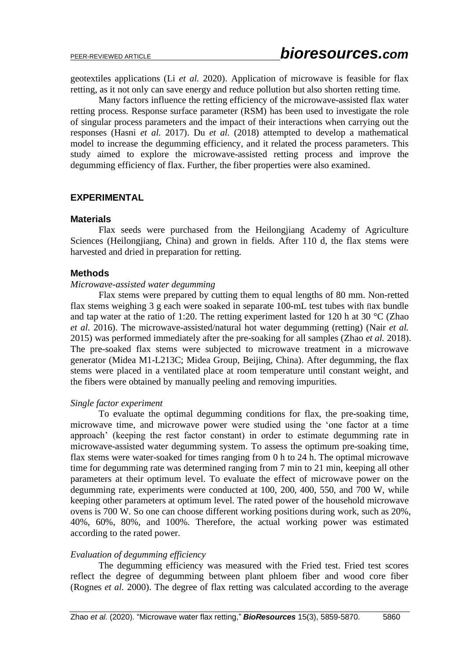geotextiles applications (Li *et al.* 2020). Application of microwave is feasible for flax retting, as it not only can save energy and reduce pollution but also shorten retting time.

Many factors influence the retting efficiency of the microwave-assisted flax water retting process. Response surface parameter (RSM) has been used to investigate the role of singular process parameters and the impact of their interactions when carrying out the responses (Hasni *et al.* 2017). Du *et al.* (2018) attempted to develop a mathematical model to increase the degumming efficiency, and it related the process parameters. This study aimed to explore the microwave-assisted retting process and improve the degumming efficiency of flax. Further, the fiber properties were also examined.

#### **EXPERIMENTAL**

#### **Materials**

Flax seeds were purchased from the Heilongjiang Academy of Agriculture Sciences (Heilongjiang, China) and grown in fields. After 110 d, the flax stems were harvested and dried in preparation for retting.

#### **Methods**

#### *Microwave-assisted water degumming*

Flax stems were prepared by cutting them to equal lengths of 80 mm. Non-retted flax stems weighing 3 g each were soaked in separate 100-mL test tubes with flax bundle and tap water at the ratio of 1:20. The retting experiment lasted for 120 h at 30 °C (Zhao *et al.* 2016). The microwave-assisted/natural hot water degumming (retting) (Nair *et al.* 2015) was performed immediately after the pre-soaking for all samples (Zhao *et al.* 2018). The pre-soaked flax stems were subjected to microwave treatment in a microwave generator (Midea M1-L213C; Midea Group, Beijing, China). After degumming, the flax stems were placed in a ventilated place at room temperature until constant weight, and the fibers were obtained by manually peeling and removing impurities.

#### *Single factor experiment*

To evaluate the optimal degumming conditions for flax, the pre-soaking time, microwave time, and microwave power were studied using the 'one factor at a time approach' (keeping the rest factor constant) in order to estimate degumming rate in microwave-assisted water degumming system. To assess the optimum pre-soaking time, flax stems were water-soaked for times ranging from 0 h to 24 h. The optimal microwave time for degumming rate was determined ranging from 7 min to 21 min, keeping all other parameters at their optimum level. To evaluate the effect of microwave power on the degumming rate, experiments were conducted at 100, 200, 400, 550, and 700 W, while keeping other parameters at optimum level. The rated power of the household microwave ovens is 700 W. So one can choose different working positions during work, such as 20%, 40%, 60%, 80%, and 100%. Therefore, the actual working power was estimated according to the rated power.

#### *Evaluation of degumming efficiency*

The degumming efficiency was measured with the Fried test. Fried test scores reflect the degree of degumming between plant phloem fiber and wood core fiber (Rognes *et al.* 2000). The degree of flax retting was calculated according to the average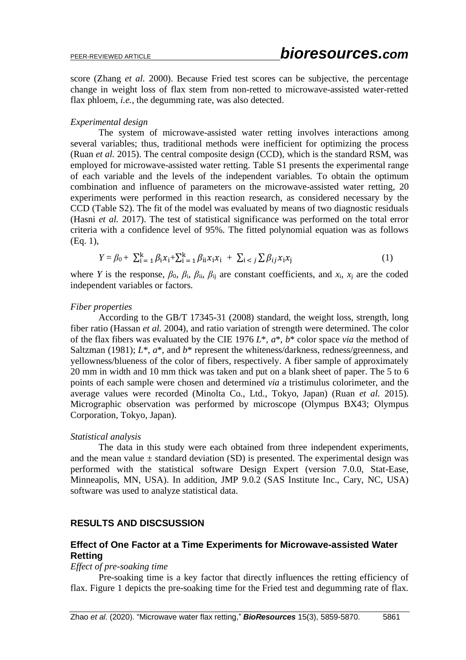score (Zhang *et al.* 2000). Because Fried test scores can be subjective, the percentage change in weight loss of flax stem from non-retted to microwave-assisted water-retted flax phloem, *i.e.*, the degumming rate, was also detected.

### *Experimental design*

The system of microwave-assisted water retting involves interactions among several variables; thus, traditional methods were inefficient for optimizing the process (Ruan *et al.* 2015). The central composite design (CCD), which is the standard RSM, was employed for microwave-assisted water retting. Table S1 presents the experimental range of each variable and the levels of the independent variables. To obtain the optimum combination and influence of parameters on the microwave-assisted water retting, 20 experiments were performed in this reaction research, as considered necessary by the CCD (Table S2). The fit of the model was evaluated by means of two diagnostic residuals (Hasni *et al.* 2017). The test of statistical significance was performed on the total error criteria with a confidence level of 95%. The fitted polynomial equation was as follows (Eq. 1),

$$
Y = \beta_0 + \sum_{i=1}^{k} \beta_i x_i + \sum_{i=1}^{k} \beta_{ii} x_i x_i + \sum_{i < j} \sum \beta_{ij} x_i x_j \tag{1}
$$

where *Y* is the response,  $\beta_0$ ,  $\beta_i$ ,  $\beta_{ii}$ ,  $\beta_{ii}$  are constant coefficients, and  $x_i$ ,  $x_j$  are the coded independent variables or factors.

### *Fiber properties*

According to the GB/T 17345-31 (2008) standard, the weight loss, strength, long fiber ratio (Hassan *et al.* 2004), and ratio variation of strength were determined. The color of the flax fibers was evaluated by the CIE 1976 *L*\*, *a*\*, *b*\* color space *via* the method of Saltzman (1981); *L*<sup>\*</sup>, *a*<sup>\*</sup>, and *b*<sup>\*</sup> represent the whiteness/darkness, redness/greenness, and yellowness/blueness of the color of fibers, respectively. A fiber sample of approximately 20 mm in width and 10 mm thick was taken and put on a blank sheet of paper. The 5 to 6 points of each sample were chosen and determined *via* a tristimulus colorimeter, and the average values were recorded (Minolta Co., Ltd., Tokyo, Japan) (Ruan *et al.* 2015). Micrographic observation was performed by microscope (Olympus BX43; Olympus Corporation, Tokyo, Japan).

### *Statistical analysis*

The data in this study were each obtained from three independent experiments, and the mean value  $\pm$  standard deviation (SD) is presented. The experimental design was performed with the statistical software Design Expert (version 7.0.0, Stat-Ease, Minneapolis, MN, USA). In addition, JMP 9.0.2 (SAS Institute Inc., Cary, NC, USA) software was used to analyze statistical data.

# **RESULTS AND DISCSUSSION**

# **Effect of One Factor at a Time Experiments for Microwave-assisted Water Retting**

#### *Effect of pre-soaking time*

Pre-soaking time is a key factor that directly influences the retting efficiency of flax. Figure 1 depicts the pre-soaking time for the Fried test and degumming rate of flax.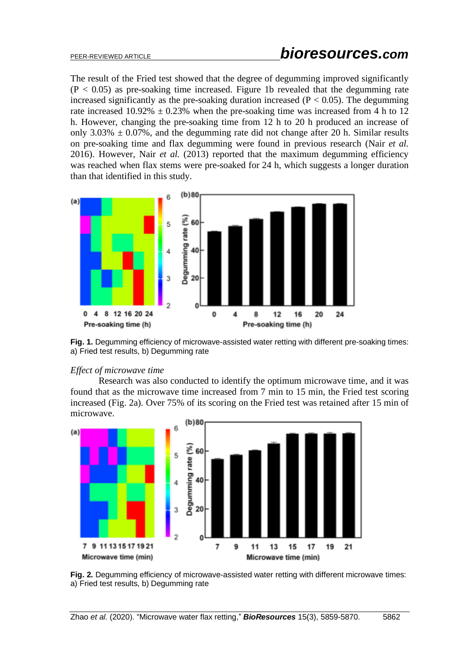The result of the Fried test showed that the degree of degumming improved significantly  $(P < 0.05)$  as pre-soaking time increased. Figure 1b revealed that the degumming rate increased significantly as the pre-soaking duration increased ( $P < 0.05$ ). The degumming rate increased  $10.92\% \pm 0.23\%$  when the pre-soaking time was increased from 4 h to 12 h. However, changing the pre-soaking time from 12 h to 20 h produced an increase of only 3.03%  $\pm$  0.07%, and the degumming rate did not change after 20 h. Similar results on pre-soaking time and flax degumming were found in previous research (Nair *et al.* 2016). However, Nair *et al.* (2013) reported that the maximum degumming efficiency was reached when flax stems were pre-soaked for 24 h, which suggests a longer duration than that identified in this study.



**Fig. 1.** Degumming efficiency of microwave-assisted water retting with different pre-soaking times: a) Fried test results, b) Degumming rate

### *Effect of microwave time*

Research was also conducted to identify the optimum microwave time, and it was found that as the microwave time increased from 7 min to 15 min, the Fried test scoring increased (Fig. 2a). Over 75% of its scoring on the Fried test was retained after 15 min of microwave.



**Fig. 2.** Degumming efficiency of microwave-assisted water retting with different microwave times: a) Fried test results, b) Degumming rate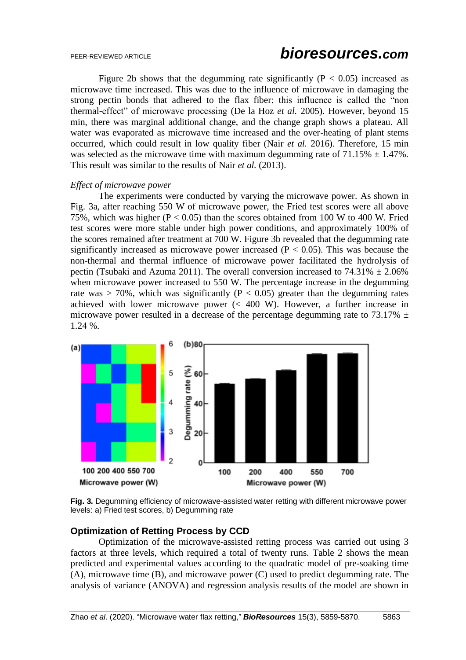Figure 2b shows that the degumming rate significantly ( $P < 0.05$ ) increased as microwave time increased. This was due to the influence of microwave in damaging the strong pectin bonds that adhered to the flax fiber; this influence is called the "non thermal-effect" of microwave processing (De la Hoz *et al.* 2005). However, beyond 15 min, there was marginal additional change, and the change graph shows a plateau. All water was evaporated as microwave time increased and the over-heating of plant stems occurred, which could result in low quality fiber (Nair *et al.* 2016). Therefore, 15 min was selected as the microwave time with maximum degumming rate of  $71.15\% \pm 1.47\%$ . This result was similar to the results of Nair *et al.* (2013).

#### *Effect of microwave power*

The experiments were conducted by varying the microwave power. As shown in Fig. 3a, after reaching 550 W of microwave power, the Fried test scores were all above 75%, which was higher ( $P < 0.05$ ) than the scores obtained from 100 W to 400 W. Fried test scores were more stable under high power conditions, and approximately 100% of the scores remained after treatment at 700 W. Figure 3b revealed that the degumming rate significantly increased as microwave power increased ( $P < 0.05$ ). This was because the non-thermal and thermal influence of microwave power facilitated the hydrolysis of pectin (Tsubaki and Azuma 2011). The overall conversion increased to  $74.31\% \pm 2.06\%$ when microwave power increased to 550 W. The percentage increase in the degumming rate was  $> 70\%$ , which was significantly (P  $< 0.05$ ) greater than the degumming rates achieved with lower microwave power (< 400 W). However, a further increase in microwave power resulted in a decrease of the percentage degumming rate to 73.17%  $\pm$ 1.24 %.



**Fig. 3.** Degumming efficiency of microwave-assisted water retting with different microwave power levels: a) Fried test scores, b) Degumming rate

# **Optimization of Retting Process by CCD**

Optimization of the microwave-assisted retting process was carried out using 3 factors at three levels, which required a total of twenty runs. Table 2 shows the mean predicted and experimental values according to the quadratic model of pre-soaking time (A), microwave time (B), and microwave power (C) used to predict degumming rate. The analysis of variance (ANOVA) and regression analysis results of the model are shown in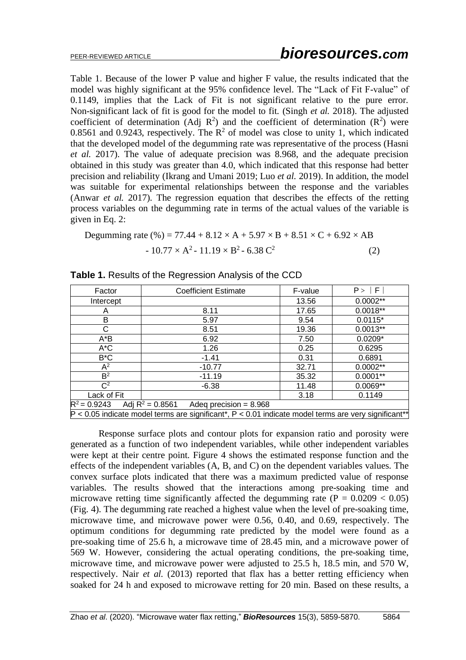Table 1. Because of the lower P value and higher F value, the results indicated that the model was highly significant at the 95% confidence level. The "Lack of Fit F-value" of 0.1149, implies that the Lack of Fit is not significant relative to the pure error. Non-significant lack of fit is good for the model to fit. (Singh *et al.* 2018). The adjusted coefficient of determination (Adj  $\mathbb{R}^2$ ) and the coefficient of determination ( $\mathbb{R}^2$ ) were 0.8561 and 0.9243, respectively. The  $\mathbb{R}^2$  of model was close to unity 1, which indicated that the developed model of the degumming rate was representative of the process (Hasni *et al.* 2017). The value of adequate precision was 8.968, and the adequate precision obtained in this study was greater than 4.0, which indicated that this response had better precision and reliability (Ikrang and Umani 2019; Luo *et al.* 2019). In addition, the model was suitable for experimental relationships between the response and the variables (Anwar *et al.* 2017). The regression equation that describes the effects of the retting process variables on the degumming rate in terms of the actual values of the variable is given in Eq. 2:

Degumming rate (%) = 77.44 + 8.12 × A + 5.97 × B + 8.51 × C + 6.92 × AB - 10.77 × A 2 - 11.19 × B 2 - 6.38 C 2 (2)

| Factor                                                                                                   | <b>Coefficient Estimate</b> | F-value | P >  F     |  |  |  |
|----------------------------------------------------------------------------------------------------------|-----------------------------|---------|------------|--|--|--|
| Intercept                                                                                                |                             | 13.56   | $0.0002**$ |  |  |  |
| A                                                                                                        | 8.11                        | 17.65   | $0.0018**$ |  |  |  |
| B                                                                                                        | 5.97                        | 9.54    | $0.0115*$  |  |  |  |
| C                                                                                                        | 8.51                        | 19.36   | $0.0013**$ |  |  |  |
| $A^*B$                                                                                                   | 6.92                        | 7.50    | $0.0209*$  |  |  |  |
| $A^{\star}C$                                                                                             | 1.26                        | 0.25    | 0.6295     |  |  |  |
| $B^{\ast}C$                                                                                              | $-1.41$                     | 0.31    | 0.6891     |  |  |  |
| $\mathsf{A}^2$                                                                                           | $-10.77$                    | 32.71   | $0.0002**$ |  |  |  |
| B <sup>2</sup>                                                                                           | $-11.19$                    | 35.32   | $0.0001**$ |  |  |  |
| $C^2$                                                                                                    | $-6.38$                     |         | $0.0069**$ |  |  |  |
| Lack of Fit                                                                                              |                             | 3.18    | 0.1149     |  |  |  |
| $R^2$ = 0.9243 Adj R <sup>2</sup> = 0.8561                                                               | Adeq precision = $8.968$    |         |            |  |  |  |
| $P < 0.05$ indicate model terms are significant*, $P < 0.01$ indicate model terms are very significant** |                             |         |            |  |  |  |

Response surface plots and contour plots for expansion ratio and porosity were generated as a function of two independent variables, while other independent variables were kept at their centre point. Figure 4 shows the estimated response function and the effects of the independent variables (A, B, and C) on the dependent variables values. The convex surface plots indicated that there was a maximum predicted value of response variables. The results showed that the interactions among pre-soaking time and microwave retting time significantly affected the degumming rate  $(P = 0.0209 < 0.05)$ (Fig. 4). The degumming rate reached a highest value when the level of pre-soaking time, microwave time, and microwave power were 0.56, 0.40, and 0.69, respectively. The optimum conditions for degumming rate predicted by the model were found as a pre-soaking time of 25.6 h, a microwave time of 28.45 min, and a microwave power of 569 W. However, considering the actual operating conditions, the pre-soaking time, microwave time, and microwave power were adjusted to 25.5 h, 18.5 min, and 570 W, respectively. Nair *et al.* (2013) reported that flax has a better retting efficiency when soaked for 24 h and exposed to microwave retting for 20 min. Based on these results, a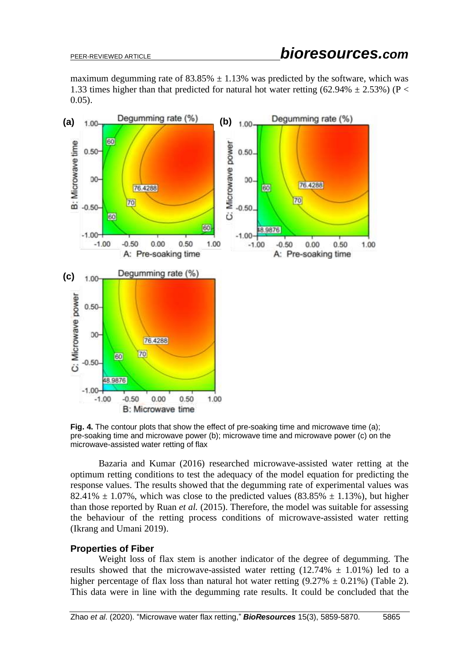maximum degumming rate of  $83.85\% \pm 1.13\%$  was predicted by the software, which was 1.33 times higher than that predicted for natural hot water retting (62.94%  $\pm$  2.53%) (P < 0.05).



**Fig. 4.** The contour plots that show the effect of pre-soaking time and microwave time (a); pre-soaking time and microwave power (b); microwave time and microwave power (c) on the microwave-assisted water retting of flax

Bazaria and Kumar (2016) researched microwave-assisted water retting at the optimum retting conditions to test the adequacy of the model equation for predicting the response values. The results showed that the degumming rate of experimental values was 82.41%  $\pm$  1.07%, which was close to the predicted values (83.85%  $\pm$  1.13%), but higher than those reported by Ruan *et al.* (2015). Therefore, the model was suitable for assessing the behaviour of the retting process conditions of microwave-assisted water retting (Ikrang and Umani 2019).

### **Properties of Fiber**

Weight loss of flax stem is another indicator of the degree of degumming. The results showed that the microwave-assisted water retting  $(12.74\% \pm 1.01\%)$  led to a higher percentage of flax loss than natural hot water retting  $(9.27\% \pm 0.21\%)$  (Table 2). This data were in line with the degumming rate results. It could be concluded that the

Zhao *et al*. (2020). "Microwave water flax retting," *BioResources* 15(3), 5859-5870. 5865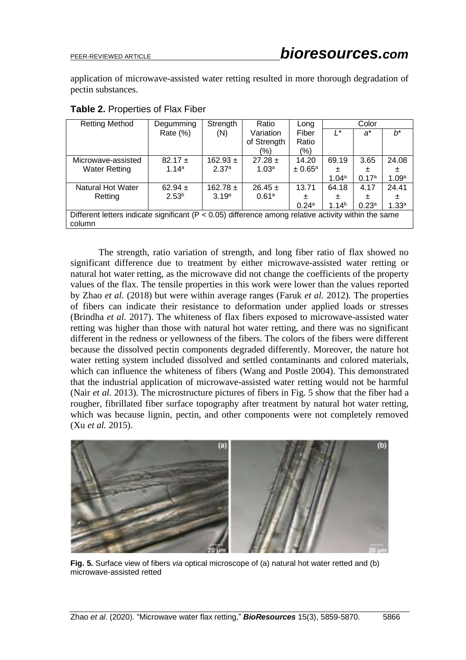application of microwave-assisted water retting resulted in more thorough degradation of pectin substances.

| <b>Retting Method</b>                                                                                    | Degumming         | Strength          | Ratio             | Long                    | Color             |                   |                   |
|----------------------------------------------------------------------------------------------------------|-------------------|-------------------|-------------------|-------------------------|-------------------|-------------------|-------------------|
|                                                                                                          | Rate (%)          | (N)               | Variation         | Fiber                   | '*                | a*                | h*                |
|                                                                                                          |                   |                   | of Strength       | Ratio                   |                   |                   |                   |
|                                                                                                          |                   |                   | (%)               | (%)                     |                   |                   |                   |
| Microwave-assisted                                                                                       | $82.17 \pm$       | 162.93 $\pm$      | $27.28 \pm$       | 14.20                   | 69.19             | 3.65              | 24.08             |
| <b>Water Retting</b>                                                                                     | 1.14a             | 2.37 <sup>a</sup> | 1.03 <sup>a</sup> | $\pm 0.65$ <sup>a</sup> | 士                 | 土                 | 士                 |
|                                                                                                          |                   |                   |                   |                         | 1.04a             | 0.17 <sup>a</sup> | 1.09 <sup>a</sup> |
| Natural Hot Water                                                                                        | 62.94 $\pm$       | $162.78 \pm$      | $26.45 \pm$       | 13.71                   | 64.18             | 4.17              | 24.41             |
| Retting                                                                                                  | 2.53 <sup>b</sup> | 3.19 <sup>a</sup> | 0.61a             | 士                       | 土                 | 士                 | 士                 |
|                                                                                                          |                   |                   |                   | $0.24^{\circ}$          | 1.14 <sup>b</sup> | 0.23 <sup>a</sup> | 1.33 <sup>a</sup> |
| Different letters indicate significant ( $P < 0.05$ ) difference among relative activity within the same |                   |                   |                   |                         |                   |                   |                   |
| column                                                                                                   |                   |                   |                   |                         |                   |                   |                   |

**Table 2.** Properties of Flax Fiber

The strength, ratio variation of strength, and long fiber ratio of flax showed no significant difference due to treatment by either microwave-assisted water retting or natural hot water retting, as the microwave did not change the coefficients of the property values of the flax. The tensile properties in this work were lower than the values reported by Zhao *et al.* (2018) but were within average ranges (Faruk *et al.* 2012). The properties of fibers can indicate their resistance to deformation under applied loads or stresses (Brindha *et al.* 2017). The whiteness of flax fibers exposed to microwave-assisted water retting was higher than those with natural hot water retting, and there was no significant different in the redness or yellowness of the fibers. The colors of the fibers were different because the dissolved pectin components degraded differently. Moreover, the nature hot water retting system included dissolved and settled contaminants and colored materials, which can influence the whiteness of fibers (Wang and Postle 2004). This demonstrated that the industrial application of microwave-assisted water retting would not be harmful (Nair *et al.* 2013). The microstructure pictures of fibers in Fig. 5 show that the fiber had a rougher, fibrillated fiber surface topography after treatment by natural hot water retting, which was because lignin, pectin, and other components were not completely removed (Xu *et al.* 2015).



**Fig. 5.** Surface view of fibers *via* optical microscope of (a) natural hot water retted and (b) microwave-assisted retted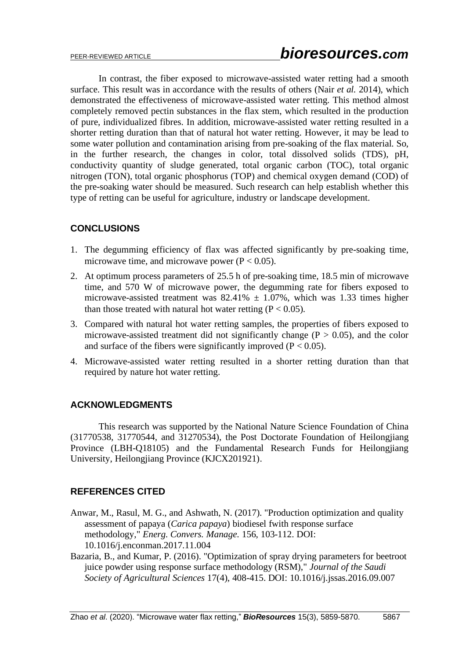In contrast, the fiber exposed to microwave-assisted water retting had a smooth surface. This result was in accordance with the results of others (Nair *et al.* 2014), which demonstrated the effectiveness of microwave-assisted water retting. This method almost completely removed pectin substances in the flax stem, which resulted in the production of pure, individualized fibres. In addition, microwave-assisted water retting resulted in a shorter retting duration than that of natural hot water retting. However, it may be lead to some water pollution and contamination arising from pre-soaking of the flax material. So, in the further research, the changes in color, total dissolved solids (TDS), pH, conductivity quantity of sludge generated, total organic carbon (TOC), total organic nitrogen (TON), total organic phosphorus (TOP) and chemical oxygen demand (COD) of the pre-soaking water should be measured. Such research can help establish whether this type of retting can be useful for agriculture, industry or landscape development.

# **CONCLUSIONS**

- 1. The degumming efficiency of flax was affected significantly by pre-soaking time, microwave time, and microwave power ( $P < 0.05$ ).
- 2. At optimum process parameters of 25.5 h of pre-soaking time, 18.5 min of microwave time, and 570 W of microwave power, the degumming rate for fibers exposed to microwave-assisted treatment was  $82.41\% \pm 1.07\%$ , which was 1.33 times higher than those treated with natural hot water retting  $(P < 0.05)$ .
- 3. Compared with natural hot water retting samples, the properties of fibers exposed to microwave-assisted treatment did not significantly change ( $P > 0.05$ ), and the color and surface of the fibers were significantly improved ( $P < 0.05$ ).
- 4. Microwave-assisted water retting resulted in a shorter retting duration than that required by nature hot water retting.

# **ACKNOWLEDGMENTS**

This research was supported by the National Nature Science Foundation of China (31770538, 31770544, and 31270534), the Post Doctorate Foundation of Heilongjiang Province (LBH-Q18105) and the Fundamental Research Funds for Heilongjiang University, Heilongjiang Province (KJCX201921).

# **REFERENCES CITED**

- Anwar, M., Rasul, M. G., and Ashwath, N. (2017). "Production optimization and quality assessment of papaya (*Carica papaya*) biodiesel fwith response surface methodology," *Energ. Convers. Manage.* 156, 103-112. DOI: 10.1016/j.enconman.2017.11.004
- Bazaria, B., and Kumar, P. (2016). "Optimization of spray drying parameters for beetroot juice powder using response surface methodology (RSM)," *Journal of the Saudi Society of Agricultural Sciences* 17(4), 408-415. DOI: 10.1016/j.jssas.2016.09.007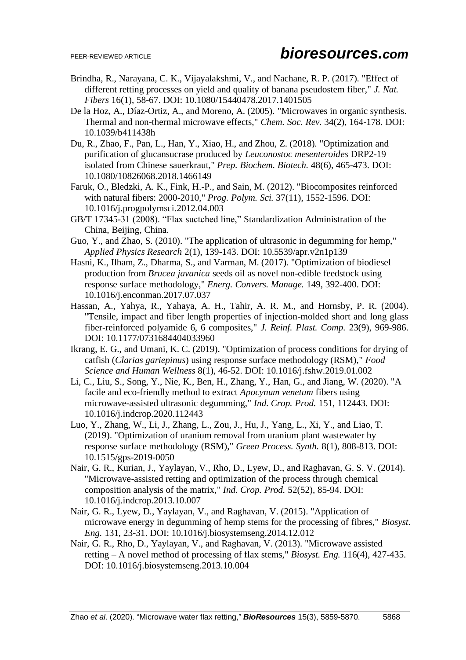- Brindha, R., Narayana, C. K., Vijayalakshmi, V., and Nachane, R. P. (2017). "Effect of different retting processes on yield and quality of banana pseudostem fiber," *J. Nat. Fibers* 16(1), 58-67. DOI: 10.1080/15440478.2017.1401505
- De la Hoz, A., Díaz-Ortiz, A., and Moreno, A. (2005). "Microwaves in organic synthesis. Thermal and non-thermal microwave effects," *Chem. Soc. Rev.* 34(2), 164-178. DOI: 10.1039/b411438h
- Du, R., Zhao, F., Pan, L., Han, Y., Xiao, H., and Zhou, Z. (2018). "Optimization and purification of glucansucrase produced by *Leuconostoc mesenteroides* DRP2-19 isolated from Chinese sauerkraut," *Prep. Biochem. Biotech.* 48(6), 465-473. DOI: 10.1080/10826068.2018.1466149
- Faruk, O., Bledzki, A. K., Fink, H.-P., and Sain, M. (2012). "Biocomposites reinforced with natural fibers: 2000-2010," *Prog. Polym. Sci.* 37(11), 1552-1596. DOI: 10.1016/j.progpolymsci.2012.04.003
- GB/T 17345-31 (2008). "Flax suctched line," Standardization Administration of the China, Beijing, China.
- Guo, Y., and Zhao, S. (2010). "The application of ultrasonic in degumming for hemp," *Applied Physics Research* 2(1), 139-143. DOI: 10.5539/apr.v2n1p139
- Hasni, K., Ilham, Z., Dharma, S., and Varman, M. (2017). "Optimization of biodiesel production from *Brucea javanica* seeds oil as novel non-edible feedstock using response surface methodology," *Energ. Convers. Manage.* 149, 392-400. DOI: 10.1016/j.enconman.2017.07.037
- Hassan, A., Yahya, R., Yahaya, A. H., Tahir, A. R. M., and Hornsby, P. R. (2004). "Tensile, impact and fiber length properties of injection-molded short and long glass fiber-reinforced polyamide 6, 6 composites," *J. Reinf. Plast. Comp.* 23(9), 969-986. DOI: 10.1177/0731684404033960
- Ikrang, E. G., and Umani, K. C. (2019). "Optimization of process conditions for drying of catfish (*Clarias gariepinus*) using response surface methodology (RSM)," *Food Science and Human Wellness* 8(1), 46-52. DOI: 10.1016/j.fshw.2019.01.002
- Li, C., Liu, S., Song, Y., Nie, K., Ben, H., Zhang, Y., Han, G., and Jiang, W. (2020). "A facile and eco-friendly method to extract *Apocynum venetum* fibers using microwave-assisted ultrasonic degumming," *Ind. Crop. Prod.* 151, 112443. DOI: 10.1016/j.indcrop.2020.112443
- Luo, Y., Zhang, W., Li, J., Zhang, L., Zou, J., Hu, J., Yang, L., Xi, Y., and Liao, T. (2019). "Optimization of uranium removal from uranium plant wastewater by response surface methodology (RSM)," *Green Process. Synth.* 8(1), 808-813. DOI: 10.1515/gps-2019-0050
- Nair, G. R., Kurian, J., Yaylayan, V., Rho, D., Lyew, D., and Raghavan, G. S. V. (2014). "Microwave-assisted retting and optimization of the process through chemical composition analysis of the matrix," *Ind. Crop. Prod.* 52(52), 85-94. DOI: 10.1016/j.indcrop.2013.10.007
- Nair, G. R., Lyew, D., Yaylayan, V., and Raghavan, V. (2015). "Application of microwave energy in degumming of hemp stems for the processing of fibres," *Biosyst. Eng.* 131, 23-31. DOI: 10.1016/j.biosystemseng.2014.12.012
- Nair, G. R., Rho, D., Yaylayan, V., and Raghavan, V. (2013). "Microwave assisted retting – A novel method of processing of flax stems," *Biosyst. Eng.* 116(4), 427-435. DOI: 10.1016/j.biosystemseng.2013.10.004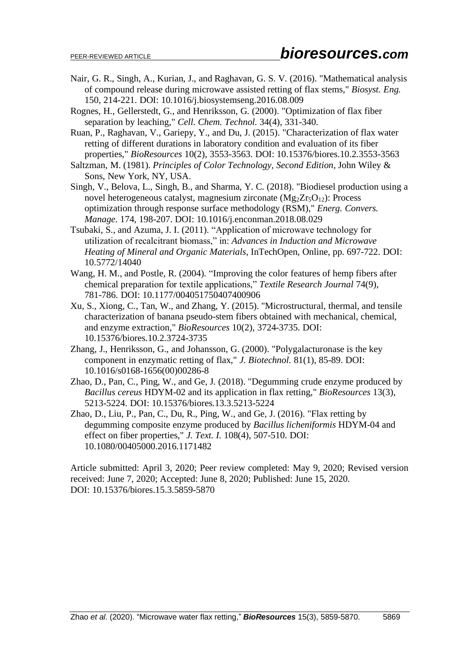- Nair, G. R., Singh, A., Kurian, J., and Raghavan, G. S. V. (2016). "Mathematical analysis of compound release during microwave assisted retting of flax stems," *Biosyst. Eng.* 150, 214-221. DOI: 10.1016/j.biosystemseng.2016.08.009
- Rognes, H., Gellerstedt, G., and Henriksson, G. (2000). "Optimization of flax fiber separation by leaching," *Cell. Chem. Technol.* 34(4), 331-340.
- Ruan, P., Raghavan, V., Gariepy, Y., and Du, J. (2015). "Characterization of flax water retting of different durations in laboratory condition and evaluation of its fiber properties," *BioResources* 10(2), 3553-3563. DOI: 10.15376/biores.10.2.3553-3563
- Saltzman, M. (1981). *Principles of Color Technology, Second Edition*, John Wiley & Sons, New York, NY, USA.
- Singh, V., Belova, L., Singh, B., and Sharma, Y. C. (2018). "Biodiesel production using a novel heterogeneous catalyst, magnesium zirconate  $(Mg_2Zr_5O_{12})$ : Process optimization through response surface methodology (RSM)," *Energ. Convers. Manage.* 174, 198-207. DOI: 10.1016/j.enconman.2018.08.029
- Tsubaki, S., and Azuma, J. I. (2011). "Application of microwave technology for utilization of recalcitrant biomass," in: *Advances in Induction and Microwave Heating of Mineral and Organic Materials*, InTechOpen, Online, pp. 697-722. DOI: 10.5772/14040
- Wang, H. M., and Postle, R. (2004). "Improving the color features of hemp fibers after chemical preparation for textile applications," *Textile Research Journal* 74(9), 781-786. DOI: 10.1177/004051750407400906
- Xu, S., Xiong, C., Tan, W., and Zhang, Y. (2015). "Microstructural, thermal, and tensile characterization of banana pseudo-stem fibers obtained with mechanical, chemical, and enzyme extraction," *BioResources* 10(2), 3724-3735. DOI: 10.15376/biores.10.2.3724-3735
- Zhang, J., Henriksson, G., and Johansson, G. (2000). "Polygalacturonase is the key component in enzymatic retting of flax," *J. Biotechnol.* 81(1), 85-89. DOI: 10.1016/s0168-1656(00)00286-8
- Zhao, D., Pan, C., Ping, W., and Ge, J. (2018). "Degumming crude enzyme produced by *Bacillus cereus* HDYM-02 and its application in flax retting," *BioResources* 13(3), 5213-5224. DOI: 10.15376/biores.13.3.5213-5224
- Zhao, D., Liu, P., Pan, C., Du, R., Ping, W., and Ge, J. (2016). "Flax retting by degumming composite enzyme produced by *Bacillus licheniformis* HDYM-04 and effect on fiber properties," *J. Text. I.* 108(4), 507-510. DOI: 10.1080/00405000.2016.1171482

Article submitted: April 3, 2020; Peer review completed: May 9, 2020; Revised version received: June 7, 2020; Accepted: June 8, 2020; Published: June 15, 2020. DOI: 10.15376/biores.15.3.5859-5870